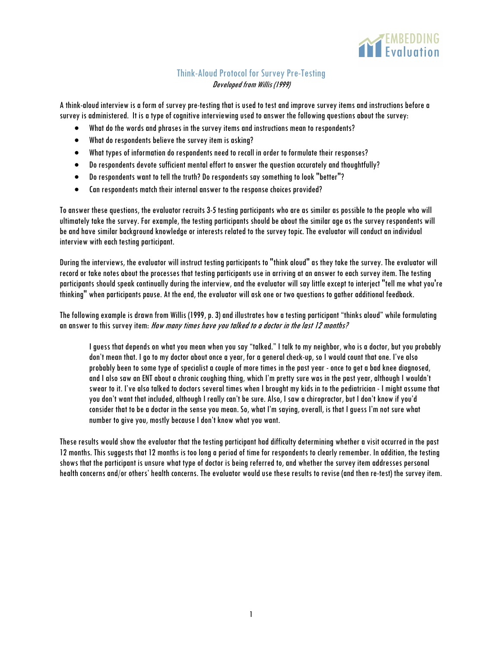

## Think-Aloud Protocol for Survey Pre-Testing Developed from Willis (1999)

A think-aloud interview is a form of survey pre-testing that isused to test and improve survey items and instructionsbefore a survey is administered. It is a type of cognitive interviewing used to answer the following questions about the survey:

- What do the words and phrases in the survey itemsand instructions mean to respondents?
- What do respondents believe the survey item is asking?
- What types of information dorespondents need to recall in order to formulate their responses?
- Dorespondentsdevote sufficient mental effort to answer the question accurately and thoughtfully?
- Dorespondents want to tell the truth? Do respondents say something to look "better"?
- Can respondents match their internal answer to the response choices provided?

To answer these questions, the evaluator recruits 3-5 testing participants who are as similar as possible to the people who will ultimately take the survey. For example, the testing participants should be about the similar age as the survey respondents will be and have similar background knowledge or interests related to the survey topic. The evaluator will conduct an individual interview with each testing participant.

During the interviews, the evaluator will instruct testing participants to "think aloud" as they take the survey. The evaluator will record or take notes about the processes that testing participants use in arriving at an answer to each survey item. The testing participants should speak continually during the interview, and the evaluator will saylittle except to interject "tell me what you're thinking" when participants pause. At the end, the evaluator will ask one or two questions to aather additional feedback.

The following example is drawn from Willis (1999, p. 3) and illustrates how a testing participant "thinks aloud" while formulating an answer to this survey item: How many times have you talked to a doctor in the last 12 months?

I guess that depends on what you mean when you say "talked." I talk to my neighbor, who is a doctor, but you probably don't mean that. I go to my doctor about once a year, for a general check-up, so I would count that one. I've also probably been to some type of specialist a couple of more times in the past year -once to get a bad knee diagnosed, and I also saw an ENT about a chronic coughing thing, which I'm pretty sure was in the past year, although I wouldn't swear to it. I've also talked to doctors several times when I brought my kids in to the pediatrician - I might assume that you don't want that included, although I really can't be sure. Also, I saw a chiropractor, but I don't know if you'd consider that to be a doctor in the sense you mean. So, what I'm saying, overall, is that I guess I'm not sure what number to give you, mostly because I don't know what you want.

These results would show the evaluator that the testing participant had difficulty determining whether a visit occurred in the past 12 months. This suggests that 12 months is too long a period of time for respondents to clearly remember. In addition, the testing shows that the participant is unsure what type of doctor is beingreferred to, and whether the survey item addresses personal health concerns and/or others' health concerns. The evaluator would use these results to revise (and then re-test) the survey item.